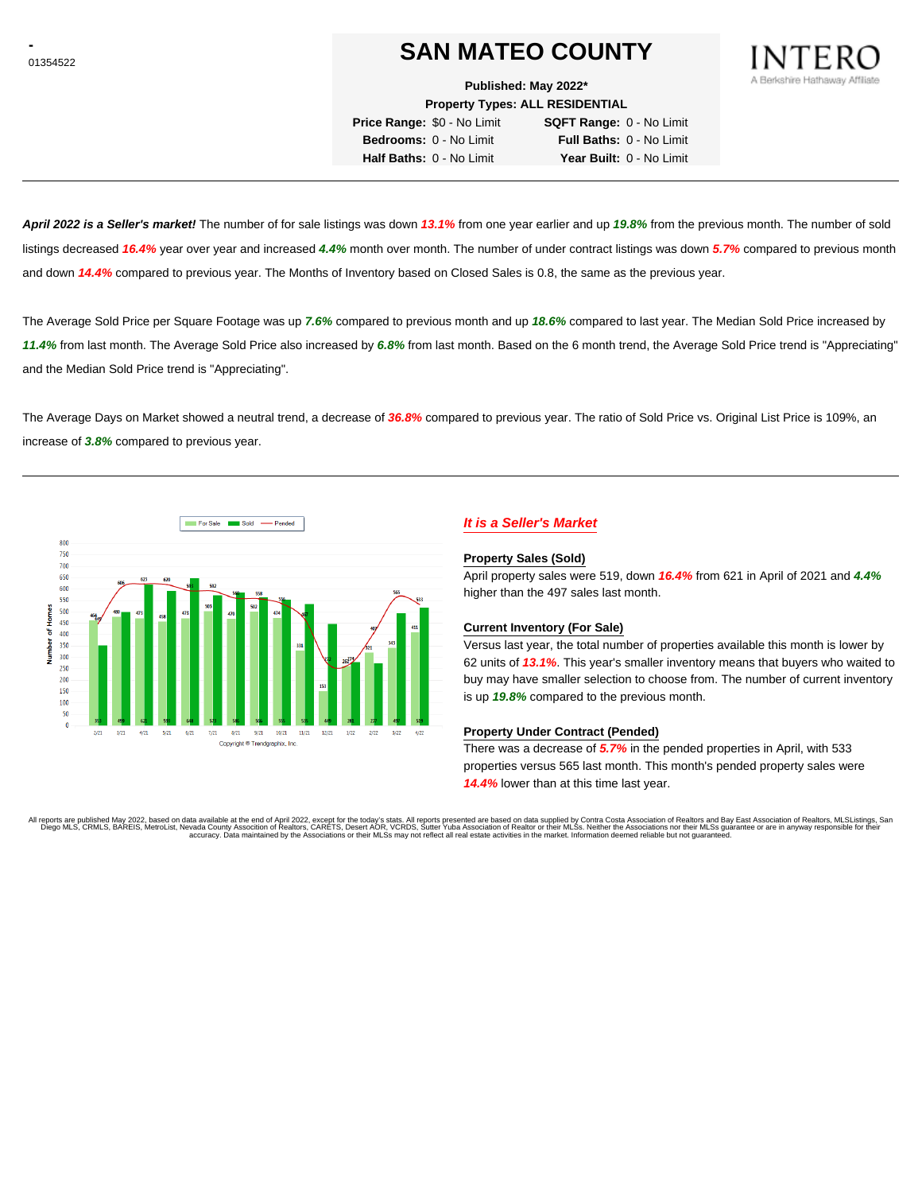# **SAN MATEO COUNTY**

**Published: May 2022\***

**Property Types: ALL RESIDENTIAL**

**Price Range:** \$0 - No Limit **SQFT Range:** 0 - No Limit **Bedrooms:** 0 - No Limit **Full Baths:** 0 - No Limit **Half Baths:** 0 - No Limit **Year Built:** 0 - No Limit

**April 2022 is a Seller's market!** The number of for sale listings was down **13.1%** from one year earlier and up **19.8%** from the previous month. The number of sold listings decreased **16.4%** year over year and increased **4.4%** month over month. The number of under contract listings was down **5.7%** compared to previous month and down **14.4%** compared to previous year. The Months of Inventory based on Closed Sales is 0.8, the same as the previous year.

The Average Sold Price per Square Footage was up **7.6%** compared to previous month and up **18.6%** compared to last year. The Median Sold Price increased by **11.4%** from last month. The Average Sold Price also increased by **6.8%** from last month. Based on the 6 month trend, the Average Sold Price trend is "Appreciating" and the Median Sold Price trend is "Appreciating".

The Average Days on Market showed a neutral trend, a decrease of **36.8%** compared to previous year. The ratio of Sold Price vs. Original List Price is 109%, an increase of **3.8%** compared to previous year.



## **It is a Seller's Market**

#### **Property Sales (Sold)**

April property sales were 519, down **16.4%** from 621 in April of 2021 and **4.4%** higher than the 497 sales last month.

#### **Current Inventory (For Sale)**

Versus last year, the total number of properties available this month is lower by 62 units of **13.1%**. This year's smaller inventory means that buyers who waited to buy may have smaller selection to choose from. The number of current inventory is up **19.8%** compared to the previous month.

#### **Property Under Contract (Pended)**

There was a decrease of **5.7%** in the pended properties in April, with 533 properties versus 565 last month. This month's pended property sales were **14.4%** lower than at this time last year.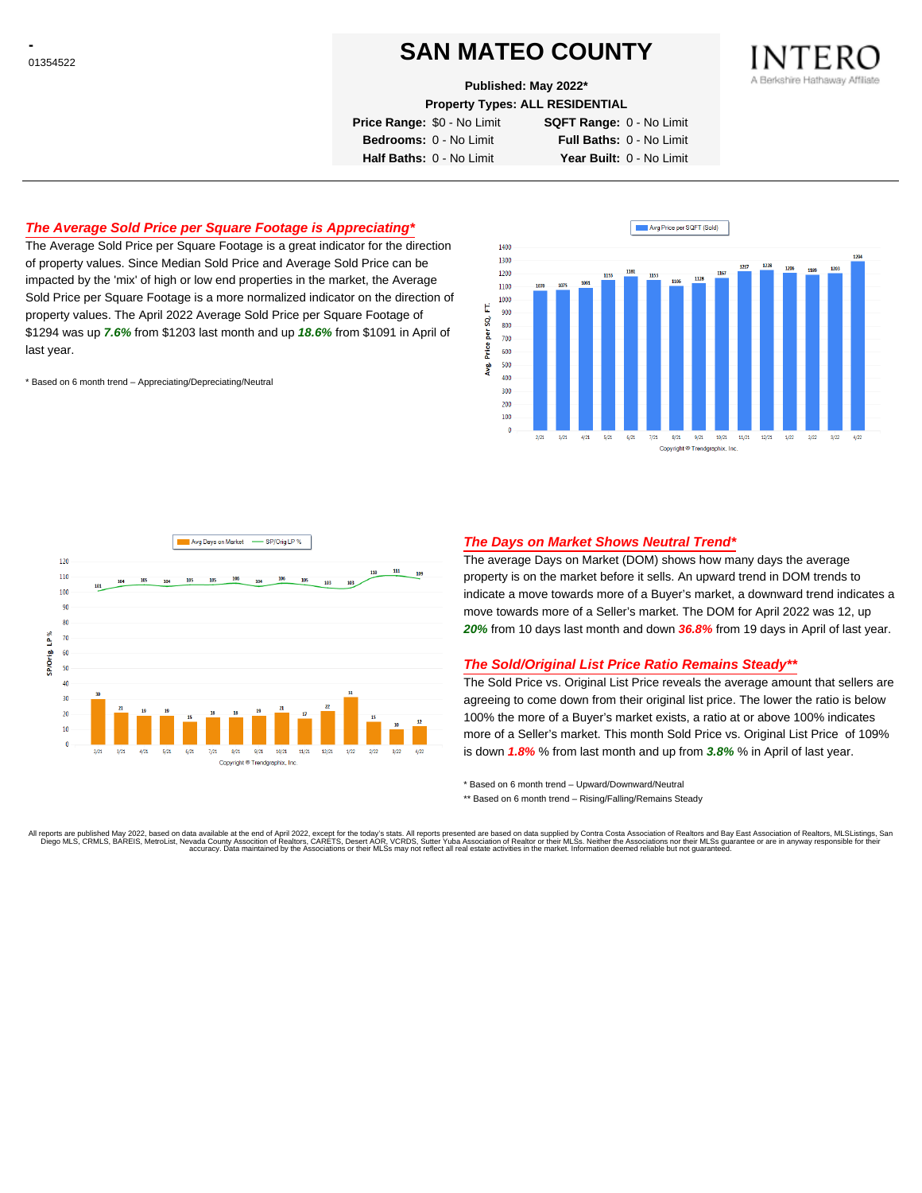## **SAN MATEO COUNTY**

**Published: May 2022\***

**Property Types: ALL RESIDENTIAL**

**Price Range:** \$0 - No Limit **SQFT Range:** 0 - No Limit

**Bedrooms:** 0 - No Limit **Full Baths:** 0 - No Limit **Half Baths:** 0 - No Limit **Year Built:** 0 - No Limit

### **The Average Sold Price per Square Footage is Appreciating\***

The Average Sold Price per Square Footage is a great indicator for the direction of property values. Since Median Sold Price and Average Sold Price can be impacted by the 'mix' of high or low end properties in the market, the Average Sold Price per Square Footage is a more normalized indicator on the direction of property values. The April 2022 Average Sold Price per Square Footage of \$1294 was up **7.6%** from \$1203 last month and up **18.6%** from \$1091 in April of last year.

\* Based on 6 month trend – Appreciating/Depreciating/Neutral





### **The Days on Market Shows Neutral Trend\***

The average Days on Market (DOM) shows how many days the average property is on the market before it sells. An upward trend in DOM trends to indicate a move towards more of a Buyer's market, a downward trend indicates a move towards more of a Seller's market. The DOM for April 2022 was 12, up **20%** from 10 days last month and down **36.8%** from 19 days in April of last year.

#### **The Sold/Original List Price Ratio Remains Steady\*\***

The Sold Price vs. Original List Price reveals the average amount that sellers are agreeing to come down from their original list price. The lower the ratio is below 100% the more of a Buyer's market exists, a ratio at or above 100% indicates more of a Seller's market. This month Sold Price vs. Original List Price of 109% is down **1.8%** % from last month and up from **3.8%** % in April of last year.

\* Based on 6 month trend – Upward/Downward/Neutral

\*\* Based on 6 month trend - Rising/Falling/Remains Steady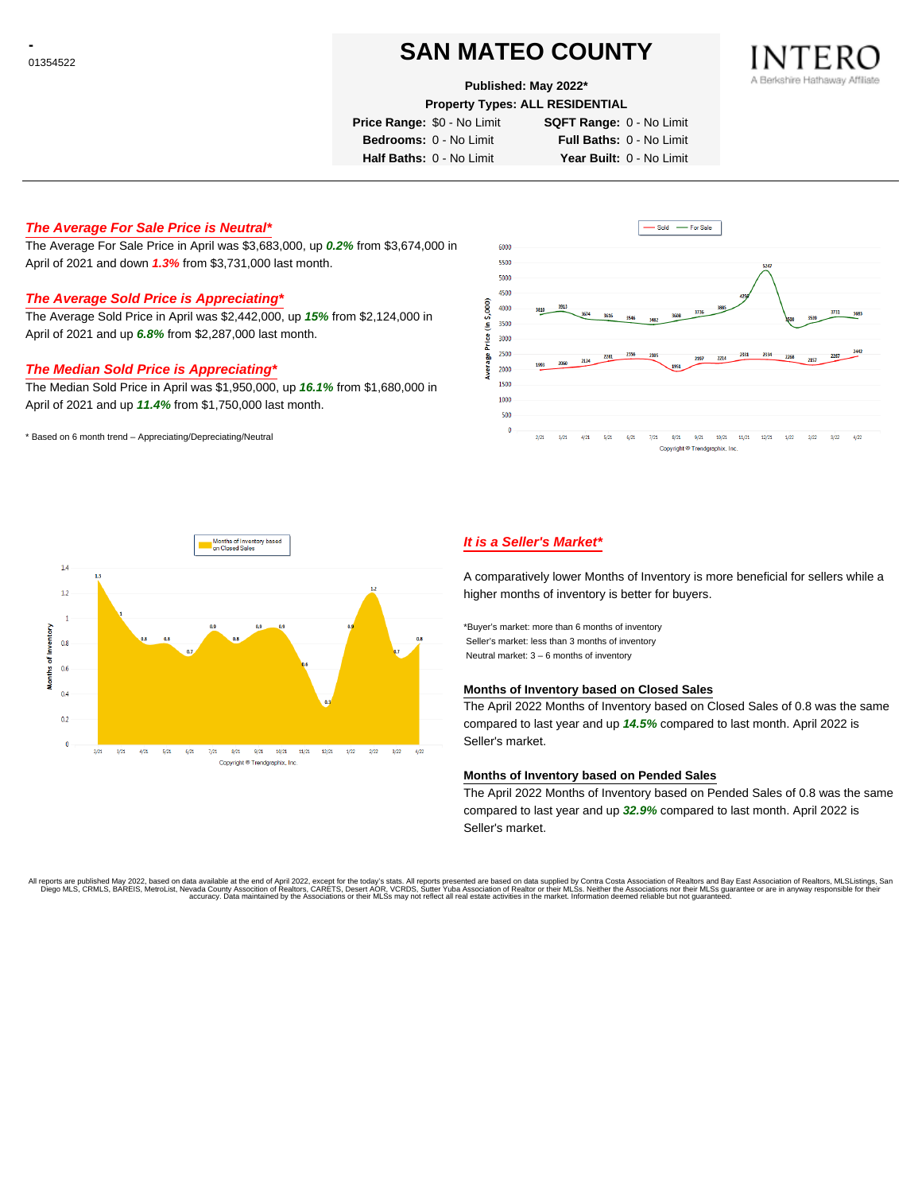# **SAN MATEO COUNTY**

#### **Published: May 2022\***

**Property Types: ALL RESIDENTIAL**

**Price Range:** \$0 - No Limit **SQFT Range:** 0 - No Limit

**Bedrooms:** 0 - No Limit **Full Baths:** 0 - No Limit **Half Baths:** 0 - No Limit **Year Built:** 0 - No Limit

**The Average For Sale Price is Neutral\***

The Average For Sale Price in April was \$3,683,000, up **0.2%** from \$3,674,000 in April of 2021 and down **1.3%** from \$3,731,000 last month.

## **The Average Sold Price is Appreciating\***

The Average Sold Price in April was \$2,442,000, up **15%** from \$2,124,000 in April of 2021 and up **6.8%** from \$2,287,000 last month.

#### **The Median Sold Price is Appreciating\***

The Median Sold Price in April was \$1,950,000, up **16.1%** from \$1,680,000 in April of 2021 and up **11.4%** from \$1,750,000 last month.

\* Based on 6 month trend – Appreciating/Depreciating/Neutral





### **It is a Seller's Market\***

A comparatively lower Months of Inventory is more beneficial for sellers while a higher months of inventory is better for buyers.

\*Buyer's market: more than 6 months of inventory Seller's market: less than 3 months of inventory Neutral market: 3 – 6 months of inventory

#### **Months of Inventory based on Closed Sales**

The April 2022 Months of Inventory based on Closed Sales of 0.8 was the same compared to last year and up **14.5%** compared to last month. April 2022 is Seller's market.

#### **Months of Inventory based on Pended Sales**

The April 2022 Months of Inventory based on Pended Sales of 0.8 was the same compared to last year and up **32.9%** compared to last month. April 2022 is Seller's market.